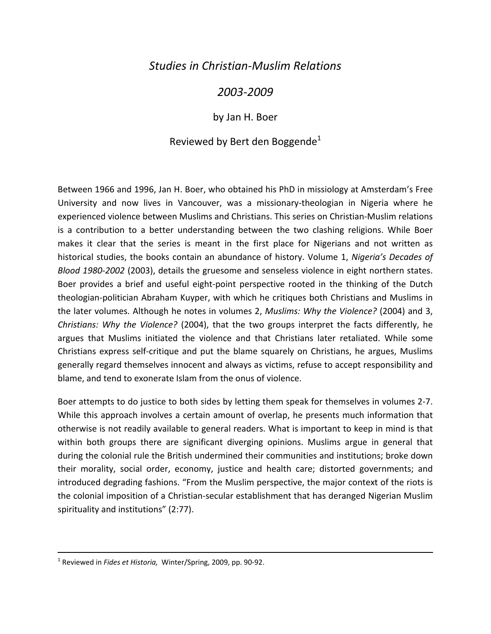## *Studies in Christian-Muslim Relations*

## *2003-2009*

by Jan H. Boer

## Reviewed by Bert den Boggende<sup>1</sup>

Between 1966 and 1996, Jan H. Boer, who obtained his PhD in missiology at Amsterdam's Free University and now lives in Vancouver, was a missionary-theologian in Nigeria where he experienced violence between Muslims and Christians. This series on Christian-Muslim relations is a contribution to a better understanding between the two clashing religions. While Boer makes it clear that the series is meant in the first place for Nigerians and not written as historical studies, the books contain an abundance of history. Volume 1, *Nigeria's Decades of Blood 1980-2002* (2003), details the gruesome and senseless violence in eight northern states. Boer provides a brief and useful eight-point perspective rooted in the thinking of the Dutch theologian-politician Abraham Kuyper, with which he critiques both Christians and Muslims in the later volumes. Although he notes in volumes 2, *Muslims: Why the Violence?* (2004) and 3, *Christians: Why the Violence?* (2004), that the two groups interpret the facts differently, he argues that Muslims initiated the violence and that Christians later retaliated. While some Christians express self-critique and put the blame squarely on Christians, he argues, Muslims generally regard themselves innocent and always as victims, refuse to accept responsibility and blame, and tend to exonerate Islam from the onus of violence.

Boer attempts to do justice to both sides by letting them speak for themselves in volumes 2-7. While this approach involves a certain amount of overlap, he presents much information that otherwise is not readily available to general readers. What is important to keep in mind is that within both groups there are significant diverging opinions. Muslims argue in general that during the colonial rule the British undermined their communities and institutions; broke down their morality, social order, economy, justice and health care; distorted governments; and introduced degrading fashions. "From the Muslim perspective, the major context of the riots is the colonial imposition of a Christian-secular establishment that has deranged Nigerian Muslim spirituality and institutions" (2:77).

<sup>1</sup> Reviewed in *Fides et Historia,* Winter/Spring, 2009, pp. 90-92.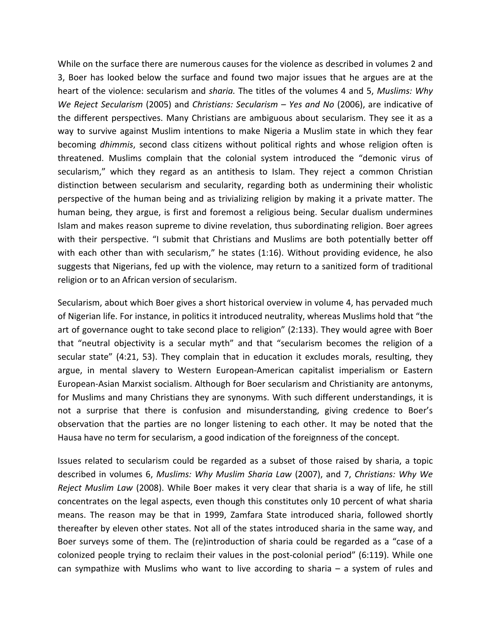While on the surface there are numerous causes for the violence as described in volumes 2 and 3, Boer has looked below the surface and found two major issues that he argues are at the heart of the violence: secularism and *sharia.* The titles of the volumes 4 and 5, *Muslims: Why We Reject Secularism* (2005) and *Christians: Secularism Yes and No* (2006), are indicative of the different perspectives. Many Christians are ambiguous about secularism. They see it as a way to survive against Muslim intentions to make Nigeria a Muslim state in which they fear becoming *dhimmis*, second class citizens without political rights and whose religion often is threatened. Muslims complain that the colonial system introduced the "demonic virus of secularism," which they regard as an antithesis to Islam. They reject a common Christian distinction between secularism and secularity, regarding both as undermining their wholistic perspective of the human being and as trivializing religion by making it a private matter. The human being, they argue, is first and foremost a religious being. Secular dualism undermines Islam and makes reason supreme to divine revelation, thus subordinating religion. Boer agrees with their perspective. "I submit that Christians and Muslims are both potentially better off with each other than with secularism," he states (1:16). Without providing evidence, he also suggests that Nigerians, fed up with the violence, may return to a sanitized form of traditional religion or to an African version of secularism.

Secularism, about which Boer gives a short historical overview in volume 4, has pervaded much of Nigerian life. For instance, in politics it introduced neutrality, whereas Muslims hold that "the art of governance ought to take second place to religion" (2:133). They would agree with Boer that "neutral objectivity is a secular myth" and that "secularism becomes the religion of a secular state" (4:21, 53). They complain that in education it excludes morals, resulting, they argue, in mental slavery to Western European-American capitalist imperialism or Eastern European-Asian Marxist socialism. Although for Boer secularism and Christianity are antonyms, for Muslims and many Christians they are synonyms. With such different understandings, it is not a surprise that there is confusion and misunderstanding, giving credence to Boer's observation that the parties are no longer listening to each other. It may be noted that the Hausa have no term for secularism, a good indication of the foreignness of the concept.

Issues related to secularism could be regarded as a subset of those raised by sharia, a topic described in volumes 6, *Muslims: Why Muslim Sharia Law* (2007), and 7, *Christians: Why We Reject Muslim Law* (2008). While Boer makes it very clear that sharia is a way of life, he still concentrates on the legal aspects, even though this constitutes only 10 percent of what sharia means. The reason may be that in 1999, Zamfara State introduced sharia, followed shortly thereafter by eleven other states. Not all of the states introduced sharia in the same way, and Boer surveys some of them. The (re)introduction of sharia could be regarded as a "case of a colonized people trying to reclaim their values in the post-colonial period" (6:119). While one can sympathize with Muslims who want to live according to sharia  $-$  a system of rules and